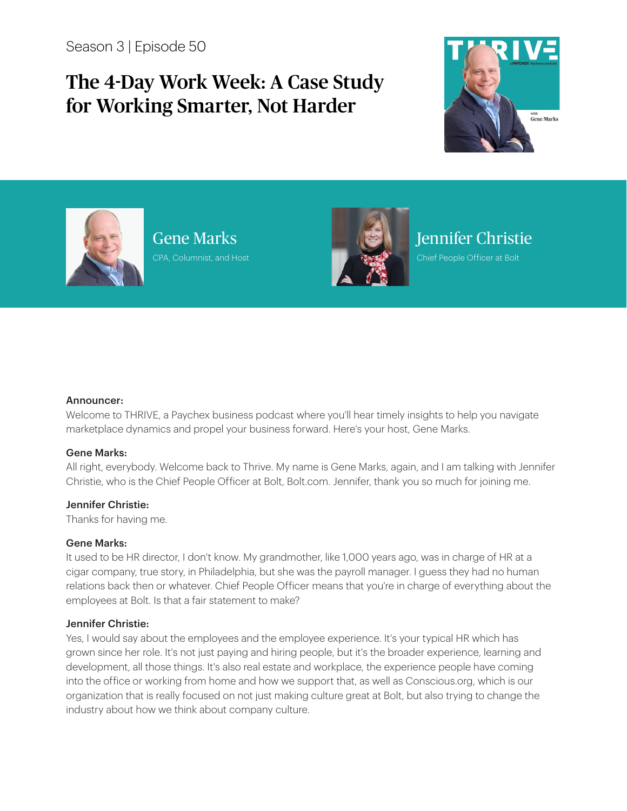Season 3 | Episode 50

# The 4-Day Work Week: A Case Study for Working Smarter, Not Harder





Gene Marks CPA, Columnist, and Host



## Jennifer Christie

Chief People Officer at Bolt

#### Announcer:

Welcome to THRIVE, a Paychex business podcast where you'll hear timely insights to help you navigate marketplace dynamics and propel your business forward. Here's your host, Gene Marks.

#### Gene Marks:

All right, everybody. Welcome back to Thrive. My name is Gene Marks, again, and I am talking with Jennifer Christie, who is the Chief People Officer at Bolt, Bolt.com. Jennifer, thank you so much for joining me.

## Jennifer Christie:

Thanks for having me.

## Gene Marks:

It used to be HR director, I don't know. My grandmother, like 1,000 years ago, was in charge of HR at a cigar company, true story, in Philadelphia, but she was the payroll manager. I guess they had no human relations back then or whatever. Chief People Officer means that you're in charge of everything about the employees at Bolt. Is that a fair statement to make?

## Jennifer Christie:

Yes, I would say about the employees and the employee experience. It's your typical HR which has grown since her role. It's not just paying and hiring people, but it's the broader experience, learning and development, all those things. It's also real estate and workplace, the experience people have coming into the office or working from home and how we support that, as well as Conscious.org, which is our organization that is really focused on not just making culture great at Bolt, but also trying to change the industry about how we think about company culture.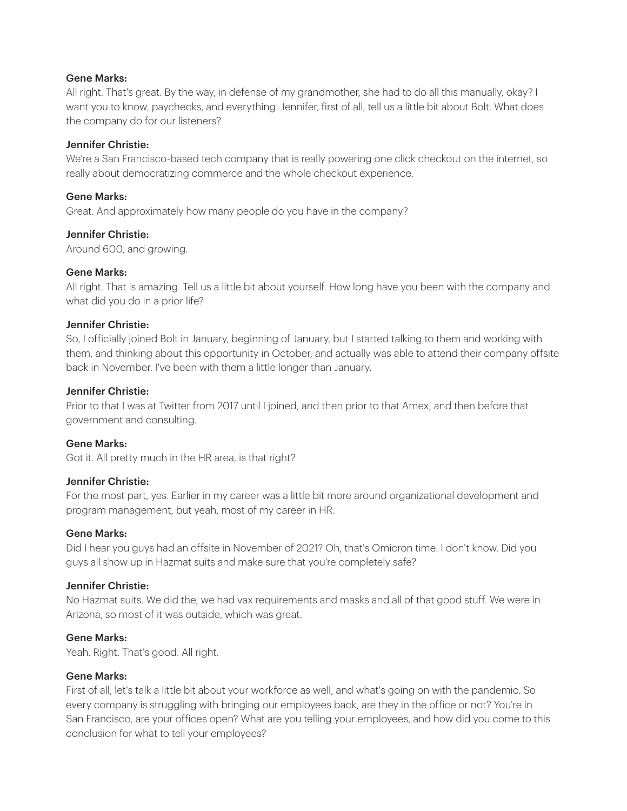All right. That's great. By the way, in defense of my grandmother, she had to do all this manually, okay? I want you to know, paychecks, and everything. Jennifer, first of all, tell us a little bit about Bolt. What does the company do for our listeners?

## Jennifer Christie:

We're a San Francisco-based tech company that is really powering one click checkout on the internet, so really about democratizing commerce and the whole checkout experience.

## Gene Marks:

Great. And approximately how many people do you have in the company?

## Jennifer Christie:

Around 600, and growing.

## Gene Marks:

All right. That is amazing. Tell us a little bit about yourself. How long have you been with the company and what did you do in a prior life?

## Jennifer Christie:

So, I officially joined Bolt in January, beginning of January, but I started talking to them and working with them, and thinking about this opportunity in October, and actually was able to attend their company offsite back in November. I've been with them a little longer than January.

## Jennifer Christie:

Prior to that I was at Twitter from 2017 until I joined, and then prior to that Amex, and then before that government and consulting.

## Gene Marks:

Got it. All pretty much in the HR area, is that right?

## Jennifer Christie:

For the most part, yes. Earlier in my career was a little bit more around organizational development and program management, but yeah, most of my career in HR.

## Gene Marks:

Did I hear you guys had an offsite in November of 2021? Oh, that's Omicron time. I don't know. Did you guys all show up in Hazmat suits and make sure that you're completely safe?

## Jennifer Christie:

No Hazmat suits. We did the, we had vax requirements and masks and all of that good stuff. We were in Arizona, so most of it was outside, which was great.

## Gene Marks:

Yeah. Right. That's good. All right.

## Gene Marks:

First of all, let's talk a little bit about your workforce as well, and what's going on with the pandemic. So every company is struggling with bringing our employees back, are they in the office or not? You're in San Francisco, are your offices open? What are you telling your employees, and how did you come to this conclusion for what to tell your employees?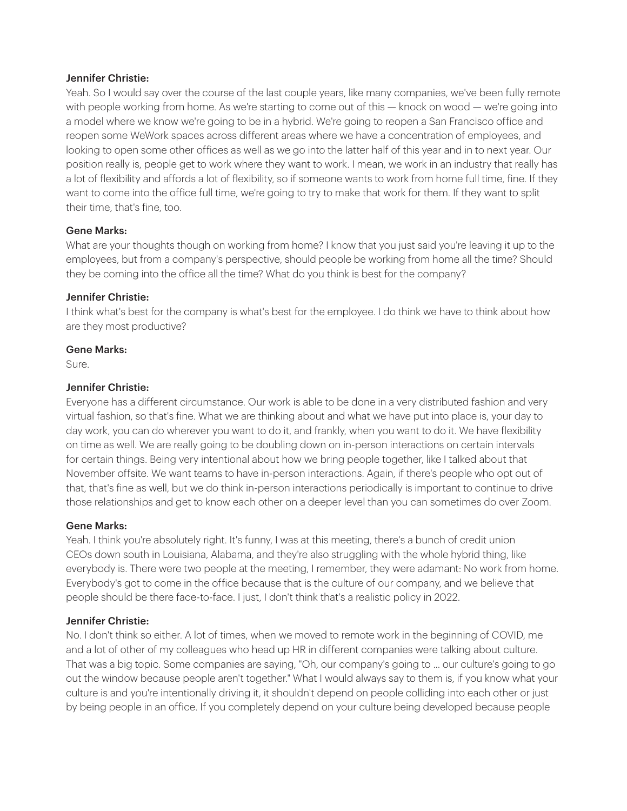Yeah. So I would say over the course of the last couple years, like many companies, we've been fully remote with people working from home. As we're starting to come out of this — knock on wood — we're going into a model where we know we're going to be in a hybrid. We're going to reopen a San Francisco office and reopen some WeWork spaces across different areas where we have a concentration of employees, and looking to open some other offices as well as we go into the latter half of this year and in to next year. Our position really is, people get to work where they want to work. I mean, we work in an industry that really has a lot of flexibility and affords a lot of flexibility, so if someone wants to work from home full time, fine. If they want to come into the office full time, we're going to try to make that work for them. If they want to split their time, that's fine, too.

## Gene Marks:

What are your thoughts though on working from home? I know that you just said you're leaving it up to the employees, but from a company's perspective, should people be working from home all the time? Should they be coming into the office all the time? What do you think is best for the company?

## Jennifer Christie:

I think what's best for the company is what's best for the employee. I do think we have to think about how are they most productive?

## Gene Marks:

Sure.

## Jennifer Christie:

Everyone has a different circumstance. Our work is able to be done in a very distributed fashion and very virtual fashion, so that's fine. What we are thinking about and what we have put into place is, your day to day work, you can do wherever you want to do it, and frankly, when you want to do it. We have flexibility on time as well. We are really going to be doubling down on in-person interactions on certain intervals for certain things. Being very intentional about how we bring people together, like I talked about that November offsite. We want teams to have in-person interactions. Again, if there's people who opt out of that, that's fine as well, but we do think in-person interactions periodically is important to continue to drive those relationships and get to know each other on a deeper level than you can sometimes do over Zoom.

## Gene Marks:

Yeah. I think you're absolutely right. It's funny, I was at this meeting, there's a bunch of credit union CEOs down south in Louisiana, Alabama, and they're also struggling with the whole hybrid thing, like everybody is. There were two people at the meeting, I remember, they were adamant: No work from home. Everybody's got to come in the office because that is the culture of our company, and we believe that people should be there face-to-face. I just, I don't think that's a realistic policy in 2022.

## Jennifer Christie:

No. I don't think so either. A lot of times, when we moved to remote work in the beginning of COVID, me and a lot of other of my colleagues who head up HR in different companies were talking about culture. That was a big topic. Some companies are saying, "Oh, our company's going to ... our culture's going to go out the window because people aren't together." What I would always say to them is, if you know what your culture is and you're intentionally driving it, it shouldn't depend on people colliding into each other or just by being people in an office. If you completely depend on your culture being developed because people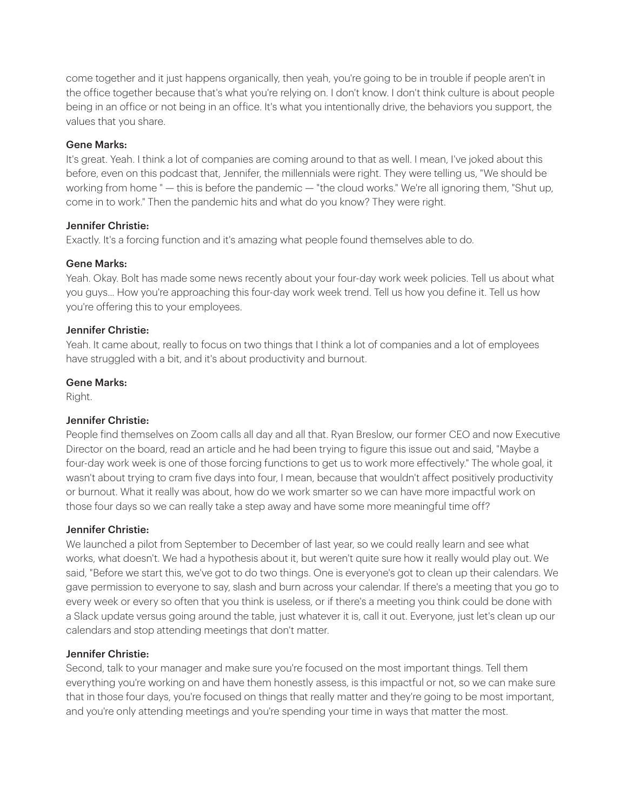come together and it just happens organically, then yeah, you're going to be in trouble if people aren't in the office together because that's what you're relying on. I don't know. I don't think culture is about people being in an office or not being in an office. It's what you intentionally drive, the behaviors you support, the values that you share.

## Gene Marks:

It's great. Yeah. I think a lot of companies are coming around to that as well. I mean, I've joked about this before, even on this podcast that, Jennifer, the millennials were right. They were telling us, "We should be working from home " — this is before the pandemic — "the cloud works." We're all ignoring them, "Shut up, come in to work." Then the pandemic hits and what do you know? They were right.

## Jennifer Christie:

Exactly. It's a forcing function and it's amazing what people found themselves able to do.

## Gene Marks:

Yeah. Okay. Bolt has made some news recently about your four-day work week policies. Tell us about what you guys... How you're approaching this four-day work week trend. Tell us how you define it. Tell us how you're offering this to your employees.

## Jennifer Christie:

Yeah. It came about, really to focus on two things that I think a lot of companies and a lot of employees have struggled with a bit, and it's about productivity and burnout.

## Gene Marks:

Right.

## Jennifer Christie:

People find themselves on Zoom calls all day and all that. Ryan Breslow, our former CEO and now Executive Director on the board, read an article and he had been trying to figure this issue out and said, "Maybe a four-day work week is one of those forcing functions to get us to work more effectively." The whole goal, it wasn't about trying to cram five days into four, I mean, because that wouldn't affect positively productivity or burnout. What it really was about, how do we work smarter so we can have more impactful work on those four days so we can really take a step away and have some more meaningful time off?

## Jennifer Christie:

We launched a pilot from September to December of last year, so we could really learn and see what works, what doesn't. We had a hypothesis about it, but weren't quite sure how it really would play out. We said, "Before we start this, we've got to do two things. One is everyone's got to clean up their calendars. We gave permission to everyone to say, slash and burn across your calendar. If there's a meeting that you go to every week or every so often that you think is useless, or if there's a meeting you think could be done with a Slack update versus going around the table, just whatever it is, call it out. Everyone, just let's clean up our calendars and stop attending meetings that don't matter.

## Jennifer Christie:

Second, talk to your manager and make sure you're focused on the most important things. Tell them everything you're working on and have them honestly assess, is this impactful or not, so we can make sure that in those four days, you're focused on things that really matter and they're going to be most important, and you're only attending meetings and you're spending your time in ways that matter the most.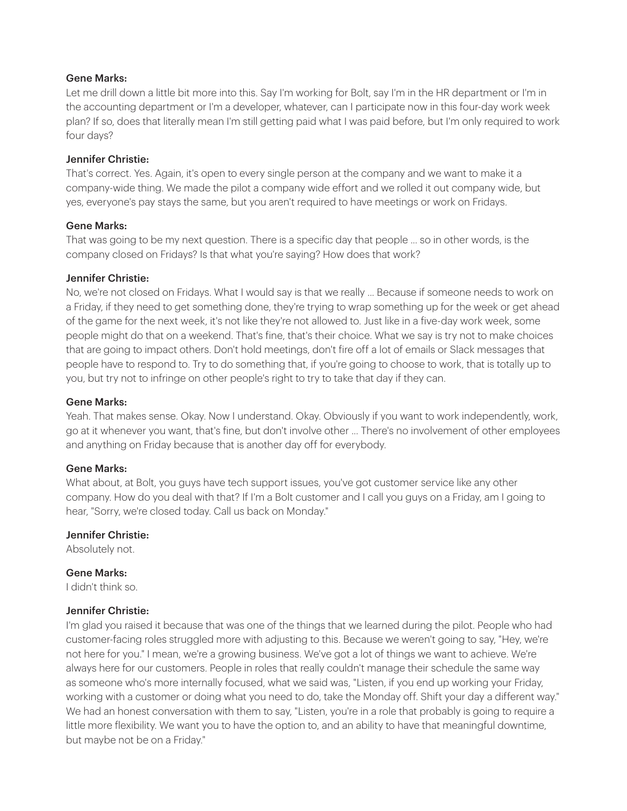Let me drill down a little bit more into this. Say I'm working for Bolt, say I'm in the HR department or I'm in the accounting department or I'm a developer, whatever, can I participate now in this four-day work week plan? If so, does that literally mean I'm still getting paid what I was paid before, but I'm only required to work four days?

## Jennifer Christie:

That's correct. Yes. Again, it's open to every single person at the company and we want to make it a company-wide thing. We made the pilot a company wide effort and we rolled it out company wide, but yes, everyone's pay stays the same, but you aren't required to have meetings or work on Fridays.

## Gene Marks:

That was going to be my next question. There is a specific day that people ... so in other words, is the company closed on Fridays? Is that what you're saying? How does that work?

## Jennifer Christie:

No, we're not closed on Fridays. What I would say is that we really ... Because if someone needs to work on a Friday, if they need to get something done, they're trying to wrap something up for the week or get ahead of the game for the next week, it's not like they're not allowed to. Just like in a five-day work week, some people might do that on a weekend. That's fine, that's their choice. What we say is try not to make choices that are going to impact others. Don't hold meetings, don't fire off a lot of emails or Slack messages that people have to respond to. Try to do something that, if you're going to choose to work, that is totally up to you, but try not to infringe on other people's right to try to take that day if they can.

## Gene Marks:

Yeah. That makes sense. Okay. Now I understand. Okay. Obviously if you want to work independently, work, go at it whenever you want, that's fine, but don't involve other ... There's no involvement of other employees and anything on Friday because that is another day off for everybody.

## Gene Marks:

What about, at Bolt, you guys have tech support issues, you've got customer service like any other company. How do you deal with that? If I'm a Bolt customer and I call you guys on a Friday, am I going to hear, "Sorry, we're closed today. Call us back on Monday."

## Jennifer Christie:

Absolutely not.

## Gene Marks:

I didn't think so.

## Jennifer Christie:

I'm glad you raised it because that was one of the things that we learned during the pilot. People who had customer-facing roles struggled more with adjusting to this. Because we weren't going to say, "Hey, we're not here for you." I mean, we're a growing business. We've got a lot of things we want to achieve. We're always here for our customers. People in roles that really couldn't manage their schedule the same way as someone who's more internally focused, what we said was, "Listen, if you end up working your Friday, working with a customer or doing what you need to do, take the Monday off. Shift your day a different way." We had an honest conversation with them to say, "Listen, you're in a role that probably is going to require a little more flexibility. We want you to have the option to, and an ability to have that meaningful downtime, but maybe not be on a Friday."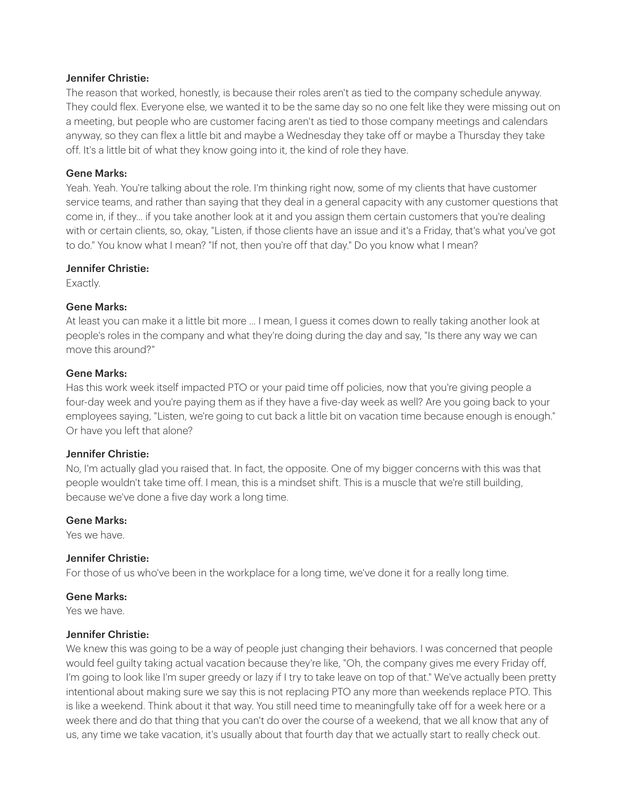The reason that worked, honestly, is because their roles aren't as tied to the company schedule anyway. They could flex. Everyone else, we wanted it to be the same day so no one felt like they were missing out on a meeting, but people who are customer facing aren't as tied to those company meetings and calendars anyway, so they can flex a little bit and maybe a Wednesday they take off or maybe a Thursday they take off. It's a little bit of what they know going into it, the kind of role they have.

## Gene Marks:

Yeah. Yeah. You're talking about the role. I'm thinking right now, some of my clients that have customer service teams, and rather than saying that they deal in a general capacity with any customer questions that come in, if they... if you take another look at it and you assign them certain customers that you're dealing with or certain clients, so, okay, "Listen, if those clients have an issue and it's a Friday, that's what you've got to do." You know what I mean? "If not, then you're off that day." Do you know what I mean?

## Jennifer Christie:

Exactly.

## Gene Marks:

At least you can make it a little bit more ... I mean, I guess it comes down to really taking another look at people's roles in the company and what they're doing during the day and say, "Is there any way we can move this around?"

## Gene Marks:

Has this work week itself impacted PTO or your paid time off policies, now that you're giving people a four-day week and you're paying them as if they have a five-day week as well? Are you going back to your employees saying, "Listen, we're going to cut back a little bit on vacation time because enough is enough." Or have you left that alone?

## Jennifer Christie:

No, I'm actually glad you raised that. In fact, the opposite. One of my bigger concerns with this was that people wouldn't take time off. I mean, this is a mindset shift. This is a muscle that we're still building, because we've done a five day work a long time.

## Gene Marks:

Yes we have.

## Jennifer Christie:

For those of us who've been in the workplace for a long time, we've done it for a really long time.

## Gene Marks:

Yes we have.

## Jennifer Christie:

We knew this was going to be a way of people just changing their behaviors. I was concerned that people would feel guilty taking actual vacation because they're like, "Oh, the company gives me every Friday off, I'm going to look like I'm super greedy or lazy if I try to take leave on top of that." We've actually been pretty intentional about making sure we say this is not replacing PTO any more than weekends replace PTO. This is like a weekend. Think about it that way. You still need time to meaningfully take off for a week here or a week there and do that thing that you can't do over the course of a weekend, that we all know that any of us, any time we take vacation, it's usually about that fourth day that we actually start to really check out.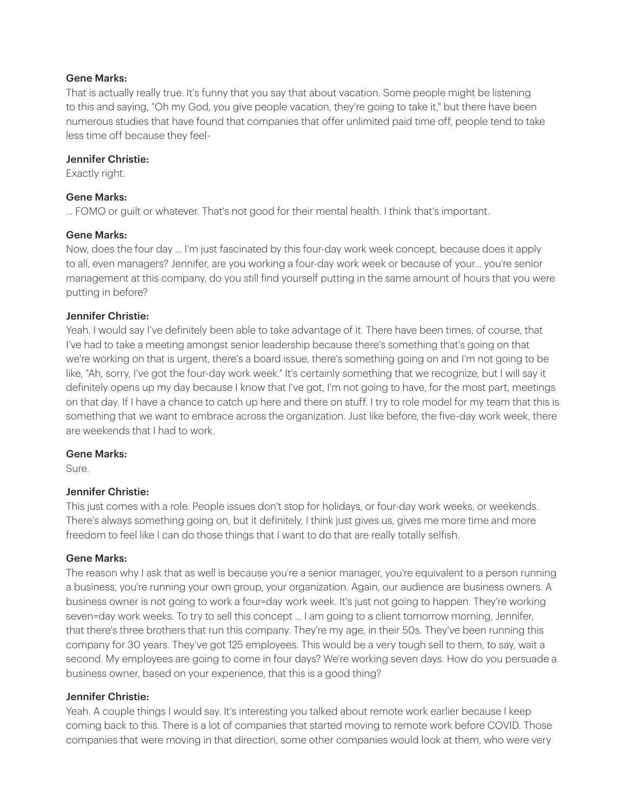That is actually really true. It's funny that you say that about vacation. Some people might be listening to this and saying, "Oh my God, you give people vacation, they're going to take it," but there have been numerous studies that have found that companies that offer unlimited paid time off, people tend to take less time off because they feel-

## Jennifer Christie:

Exactly right.

## Gene Marks:

... FOMO or guilt or whatever. That's not good for their mental health. I think that's important.

## Gene Marks:

Now, does the four day ... I'm just fascinated by this four-day work week concept, because does it apply to all, even managers? Jennifer, are you working a four-day work week or because of your... you're senior management at this company, do you still find yourself putting in the same amount of hours that you were putting in before?

## Jennifer Christie:

Yeah. I would say I've definitely been able to take advantage of it. There have been times, of course, that I've had to take a meeting amongst senior leadership because there's something that's going on that we're working on that is urgent, there's a board issue, there's something going on and I'm not going to be like, "Ah, sorry, I've got the four-day work week." It's certainly something that we recognize, but I will say it definitely opens up my day because I know that I've got, I'm not going to have, for the most part, meetings on that day. If I have a chance to catch up here and there on stuff. I try to role model for my team that this is something that we want to embrace across the organization. Just like before, the five-day work week, there are weekends that I had to work.

## Gene Marks:

Sure.

## Jennifer Christie:

This just comes with a role. People issues don't stop for holidays, or four-day work weeks, or weekends. There's always something going on, but it definitely, I think just gives us, gives me more time and more freedom to feel like I can do those things that I want to do that are really totally selfish.

## Gene Marks:

The reason why I ask that as well is because you're a senior manager, you're equivalent to a person running a business, you're running your own group, your organization. Again, our audience are business owners. A business owner is not going to work a four=day work week. It's just not going to happen. They're working seven=day work weeks. To try to sell this concept ... I am going to a client tomorrow morning, Jennifer, that there's three brothers that run this company. They're my age, in their 50s. They've been running this company for 30 years. They've got 125 employees. This would be a very tough sell to them, to say, wait a second. My employees are going to come in four days? We're working seven days. How do you persuade a business owner, based on your experience, that this is a good thing?

## Jennifer Christie:

Yeah. A couple things I would say. It's interesting you talked about remote work earlier because I keep coming back to this. There is a lot of companies that started moving to remote work before COVID. Those companies that were moving in that direction, some other companies would look at them, who were very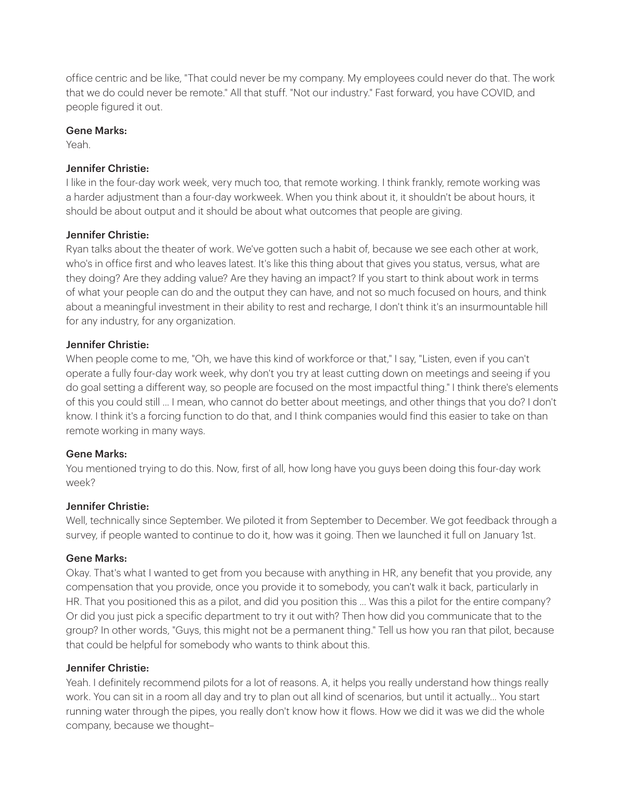office centric and be like, "That could never be my company. My employees could never do that. The work that we do could never be remote." All that stuff. "Not our industry." Fast forward, you have COVID, and people figured it out.

## Gene Marks:

Yeah.

## Jennifer Christie:

I like in the four-day work week, very much too, that remote working. I think frankly, remote working was a harder adjustment than a four-day workweek. When you think about it, it shouldn't be about hours, it should be about output and it should be about what outcomes that people are giving.

## Jennifer Christie:

Ryan talks about the theater of work. We've gotten such a habit of, because we see each other at work, who's in office first and who leaves latest. It's like this thing about that gives you status, versus, what are they doing? Are they adding value? Are they having an impact? If you start to think about work in terms of what your people can do and the output they can have, and not so much focused on hours, and think about a meaningful investment in their ability to rest and recharge, I don't think it's an insurmountable hill for any industry, for any organization.

## Jennifer Christie:

When people come to me, "Oh, we have this kind of workforce or that," I say, "Listen, even if you can't operate a fully four-day work week, why don't you try at least cutting down on meetings and seeing if you do goal setting a different way, so people are focused on the most impactful thing." I think there's elements of this you could still ... I mean, who cannot do better about meetings, and other things that you do? I don't know. I think it's a forcing function to do that, and I think companies would find this easier to take on than remote working in many ways.

## Gene Marks:

You mentioned trying to do this. Now, first of all, how long have you guys been doing this four-day work week?

## Jennifer Christie:

Well, technically since September. We piloted it from September to December. We got feedback through a survey, if people wanted to continue to do it, how was it going. Then we launched it full on January 1st.

## Gene Marks:

Okay. That's what I wanted to get from you because with anything in HR, any benefit that you provide, any compensation that you provide, once you provide it to somebody, you can't walk it back, particularly in HR. That you positioned this as a pilot, and did you position this ... Was this a pilot for the entire company? Or did you just pick a specific department to try it out with? Then how did you communicate that to the group? In other words, "Guys, this might not be a permanent thing." Tell us how you ran that pilot, because that could be helpful for somebody who wants to think about this.

## Jennifer Christie:

Yeah. I definitely recommend pilots for a lot of reasons. A, it helps you really understand how things really work. You can sit in a room all day and try to plan out all kind of scenarios, but until it actually... You start running water through the pipes, you really don't know how it flows. How we did it was we did the whole company, because we thought–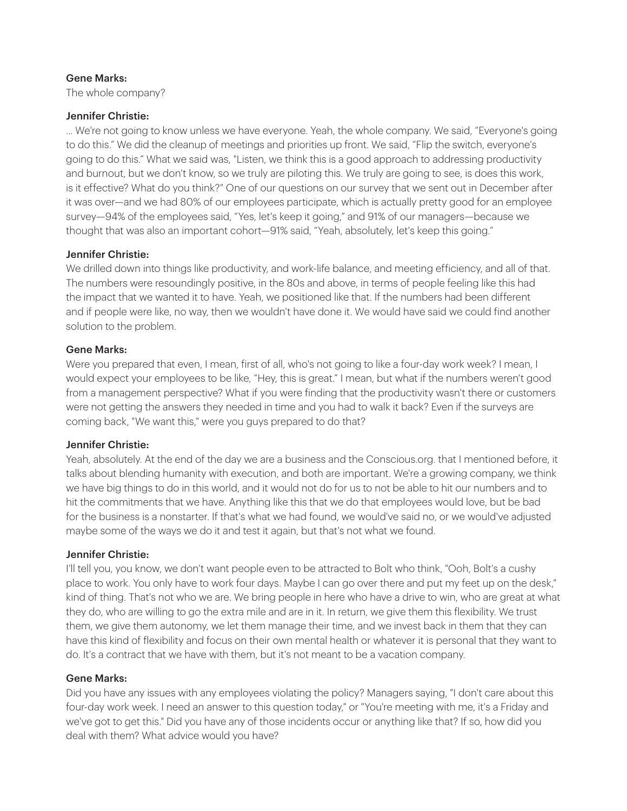The whole company?

## Jennifer Christie:

... We're not going to know unless we have everyone. Yeah, the whole company. We said, "Everyone's going to do this." We did the cleanup of meetings and priorities up front. We said, "Flip the switch, everyone's going to do this." What we said was, "Listen, we think this is a good approach to addressing productivity and burnout, but we don't know, so we truly are piloting this. We truly are going to see, is does this work, is it effective? What do you think?" One of our questions on our survey that we sent out in December after it was over—and we had 80% of our employees participate, which is actually pretty good for an employee survey—94% of the employees said, "Yes, let's keep it going," and 91% of our managers—because we thought that was also an important cohort—91% said, "Yeah, absolutely, let's keep this going."

## Jennifer Christie:

We drilled down into things like productivity, and work-life balance, and meeting efficiency, and all of that. The numbers were resoundingly positive, in the 80s and above, in terms of people feeling like this had the impact that we wanted it to have. Yeah, we positioned like that. If the numbers had been different and if people were like, no way, then we wouldn't have done it. We would have said we could find another solution to the problem.

## Gene Marks:

Were you prepared that even, I mean, first of all, who's not going to like a four-day work week? I mean, I would expect your employees to be like, "Hey, this is great." I mean, but what if the numbers weren't good from a management perspective? What if you were finding that the productivity wasn't there or customers were not getting the answers they needed in time and you had to walk it back? Even if the surveys are coming back, "We want this," were you guys prepared to do that?

## Jennifer Christie:

Yeah, absolutely. At the end of the day we are a business and the Conscious.org. that I mentioned before, it talks about blending humanity with execution, and both are important. We're a growing company, we think we have big things to do in this world, and it would not do for us to not be able to hit our numbers and to hit the commitments that we have. Anything like this that we do that employees would love, but be bad for the business is a nonstarter. If that's what we had found, we would've said no, or we would've adjusted maybe some of the ways we do it and test it again, but that's not what we found.

## Jennifer Christie:

I'll tell you, you know, we don't want people even to be attracted to Bolt who think, "Ooh, Bolt's a cushy place to work. You only have to work four days. Maybe I can go over there and put my feet up on the desk," kind of thing. That's not who we are. We bring people in here who have a drive to win, who are great at what they do, who are willing to go the extra mile and are in it. In return, we give them this flexibility. We trust them, we give them autonomy, we let them manage their time, and we invest back in them that they can have this kind of flexibility and focus on their own mental health or whatever it is personal that they want to do. It's a contract that we have with them, but it's not meant to be a vacation company.

## Gene Marks:

Did you have any issues with any employees violating the policy? Managers saying, "I don't care about this four-day work week. I need an answer to this question today," or "You're meeting with me, it's a Friday and we've got to get this." Did you have any of those incidents occur or anything like that? If so, how did you deal with them? What advice would you have?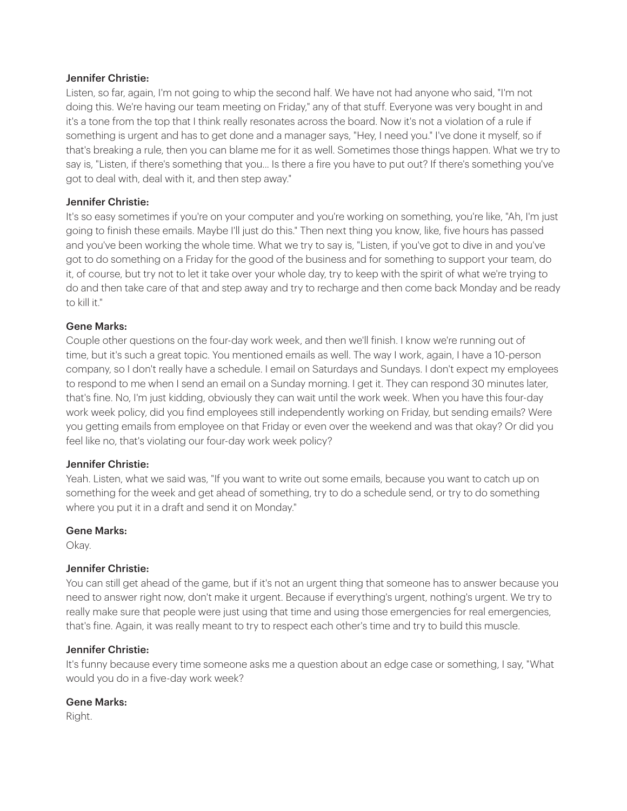Listen, so far, again, I'm not going to whip the second half. We have not had anyone who said, "I'm not doing this. We're having our team meeting on Friday," any of that stuff. Everyone was very bought in and it's a tone from the top that I think really resonates across the board. Now it's not a violation of a rule if something is urgent and has to get done and a manager says, "Hey, I need you." I've done it myself, so if that's breaking a rule, then you can blame me for it as well. Sometimes those things happen. What we try to say is, "Listen, if there's something that you... Is there a fire you have to put out? If there's something you've got to deal with, deal with it, and then step away."

## Jennifer Christie:

It's so easy sometimes if you're on your computer and you're working on something, you're like, "Ah, I'm just going to finish these emails. Maybe I'll just do this." Then next thing you know, like, five hours has passed and you've been working the whole time. What we try to say is, "Listen, if you've got to dive in and you've got to do something on a Friday for the good of the business and for something to support your team, do it, of course, but try not to let it take over your whole day, try to keep with the spirit of what we're trying to do and then take care of that and step away and try to recharge and then come back Monday and be ready to kill it."

## Gene Marks:

Couple other questions on the four-day work week, and then we'll finish. I know we're running out of time, but it's such a great topic. You mentioned emails as well. The way I work, again, I have a 10-person company, so I don't really have a schedule. I email on Saturdays and Sundays. I don't expect my employees to respond to me when I send an email on a Sunday morning. I get it. They can respond 30 minutes later, that's fine. No, I'm just kidding, obviously they can wait until the work week. When you have this four-day work week policy, did you find employees still independently working on Friday, but sending emails? Were you getting emails from employee on that Friday or even over the weekend and was that okay? Or did you feel like no, that's violating our four-day work week policy?

## Jennifer Christie:

Yeah. Listen, what we said was, "If you want to write out some emails, because you want to catch up on something for the week and get ahead of something, try to do a schedule send, or try to do something where you put it in a draft and send it on Monday."

## Gene Marks:

Okay.

## Jennifer Christie:

You can still get ahead of the game, but if it's not an urgent thing that someone has to answer because you need to answer right now, don't make it urgent. Because if everything's urgent, nothing's urgent. We try to really make sure that people were just using that time and using those emergencies for real emergencies, that's fine. Again, it was really meant to try to respect each other's time and try to build this muscle.

## Jennifer Christie:

It's funny because every time someone asks me a question about an edge case or something, I say, "What would you do in a five-day work week?

## Gene Marks:

Right.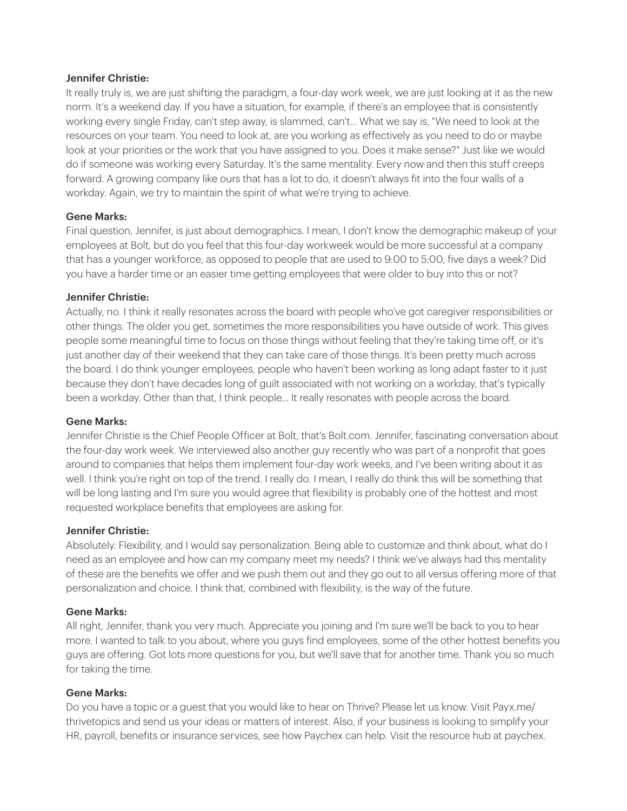It really truly is, we are just shifting the paradigm, a four-day work week, we are just looking at it as the new norm. It's a weekend day. If you have a situation, for example, if there's an employee that is consistently working every single Friday, can't step away, is slammed, can't... What we say is, "We need to look at the resources on your team. You need to look at, are you working as effectively as you need to do or maybe look at your priorities or the work that you have assigned to you. Does it make sense?" Just like we would do if someone was working every Saturday. It's the same mentality. Every now and then this stuff creeps forward. A growing company like ours that has a lot to do, it doesn't always fit into the four walls of a workday. Again, we try to maintain the spirit of what we're trying to achieve.

## Gene Marks:

Final question, Jennifer, is just about demographics. I mean, I don't know the demographic makeup of your employees at Bolt, but do you feel that this four-day workweek would be more successful at a company that has a younger workforce, as opposed to people that are used to 9:00 to 5:00, five days a week? Did you have a harder time or an easier time getting employees that were older to buy into this or not?

## Jennifer Christie:

Actually, no. I think it really resonates across the board with people who've got caregiver responsibilities or other things. The older you get, sometimes the more responsibilities you have outside of work. This gives people some meaningful time to focus on those things without feeling that they're taking time off, or it's just another day of their weekend that they can take care of those things. It's been pretty much across the board. I do think younger employees, people who haven't been working as long adapt faster to it just because they don't have decades long of guilt associated with not working on a workday, that's typically been a workday. Other than that, I think people... It really resonates with people across the board.

## Gene Marks:

Jennifer Christie is the Chief People Officer at Bolt, that's Bolt.com. Jennifer, fascinating conversation about the four-day work week. We interviewed also another guy recently who was part of a nonprofit that goes around to companies that helps them implement four-day work weeks, and I've been writing about it as well. I think you're right on top of the trend. I really do. I mean, I really do think this will be something that will be long lasting and I'm sure you would agree that flexibility is probably one of the hottest and most requested workplace benefits that employees are asking for.

## Jennifer Christie:

Absolutely. Flexibility, and I would say personalization. Being able to customize and think about, what do I need as an employee and how can my company meet my needs? I think we've always had this mentality of these are the benefits we offer and we push them out and they go out to all versus offering more of that personalization and choice. I think that, combined with flexibility, is the way of the future.

## Gene Marks:

All right, Jennifer, thank you very much. Appreciate you joining and I'm sure we'll be back to you to hear more. I wanted to talk to you about, where you guys find employees, some of the other hottest benefits you guys are offering. Got lots more questions for you, but we'll save that for another time. Thank you so much for taking the time.

## Gene Marks:

Do you have a topic or a guest that you would like to hear on Thrive? Please let us know. Visit Payx.me/ thrivetopics and send us your ideas or matters of interest. Also, if your business is looking to simplify your HR, payroll, benefits or insurance services, see how Paychex can help. Visit the resource hub at paychex.